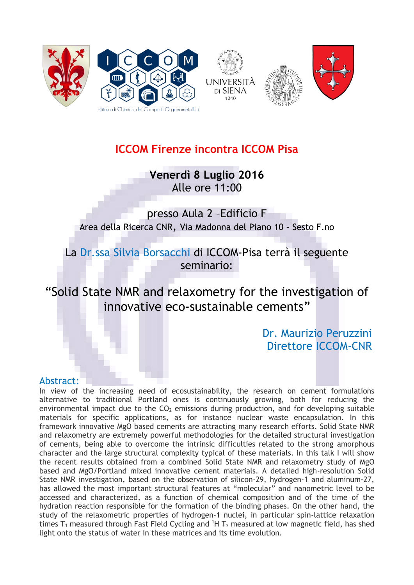



## **ICCOM Firenze incontra ICCOM Pisa**

**Venerdì 8 Luglio 2016** Alle ore 11:00

presso Aula 2 –Edificio F Area della Ricerca CNR, Via Madonna del Piano 10 – Sesto F.no

La Dr.ssa Silvia Borsacchi di ICCOM-Pisa terrà il seguente seminario:

"Solid State NMR and relaxometry for the investigation of innovative eco-sustainable cements"

> Dr. Maurizio Peruzzini Direttore ICCOM-CNR

## Abstract:

In view of the increasing need of ecosustainability, the research on cement formulations alternative to traditional Portland ones is continuously growing, both for reducing the environmental impact due to the  $CO<sub>2</sub>$  emissions during production, and for developing suitable materials for specific applications, as for instance nuclear waste encapsulation. In this framework innovative MgO based cements are attracting many research efforts. Solid State NMR and relaxometry are extremely powerful methodologies for the detailed structural investigation of cements, being able to overcome the intrinsic difficulties related to the strong amorphous character and the large structural complexity typical of these materials. In this talk I will show the recent results obtained from a combined Solid State NMR and relaxometry study of MgO based and MgO/Portland mixed innovative cement materials. A detailed high-resolution Solid State NMR investigation, based on the observation of silicon-29, hydrogen-1 and aluminum-27, has allowed the most important structural features at "molecular" and nanometric level to be accessed and characterized, as a function of chemical composition and of the time of the hydration reaction responsible for the formation of the binding phases. On the other hand, the study of the relaxometric properties of hydrogen-1 nuclei, in particular spin-lattice relaxation times  $T_1$  measured through Fast Field Cycling and  ${}^1H$  T<sub>2</sub> measured at low magnetic field, has shed light onto the status of water in these matrices and its time evolution.